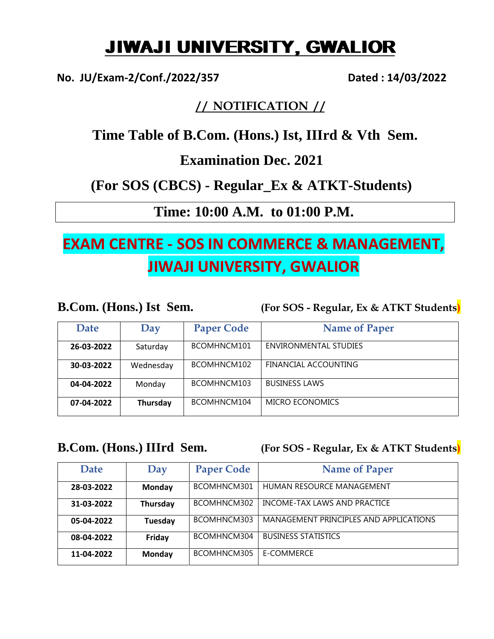# JIWAJI UNIVERSITY, GWALIOR

**No. JU/Exam-2/Conf./2022/357 Dated : 14/03/2022**

### **/ / NOTIFICATION / /**

 **Time Table of B.Com. (Hons.) Ist, IIIrd & Vth Sem.** 

**Examination Dec. 2021** 

**(For SOS (CBCS) - Regular\_Ex & ATKT-Students)**

**Time: 10:00 A.M. to 01:00 P.M.**

## **EXAM CENTRE - SOS IN COMMERCE & MANAGEMENT, JIWAJI UNIVERSITY, GWALIOR**

**B.Com. (Hons.) Ist Sem. (For SOS - Regular, Ex & ATKT Students)**

| <b>Date</b> | Day       | <b>Paper Code</b> | <b>Name of Paper</b>  |
|-------------|-----------|-------------------|-----------------------|
| 26-03-2022  | Saturday  | BCOMHNCM101       | ENVIRONMENTAL STUDIES |
| 30-03-2022  | Wednesday | BCOMHNCM102       | FINANCIAL ACCOUNTING  |
| 04-04-2022  | Monday    | BCOMHNCM103       | <b>BUSINESS LAWS</b>  |
| 07-04-2022  | Thursday  | BCOMHNCM104       | MICRO ECONOMICS       |

**B.Com. (Hons.) IIIrd Sem. (For SOS - Regular, Ex & ATKT Students)**

| <b>Date</b> | Day      | <b>Paper Code</b> | <b>Name of Paper</b>                   |
|-------------|----------|-------------------|----------------------------------------|
| 28-03-2022  | Monday   | BCOMHNCM301       | HUMAN RESOURCE MANAGEMENT              |
| 31-03-2022  | Thursday | BCOMHNCM302       | INCOME-TAX LAWS AND PRACTICE           |
| 05-04-2022  | Tuesday  | BCOMHNCM303       | MANAGEMENT PRINCIPLES AND APPLICATIONS |
| 08-04-2022  | Friday   | BCOMHNCM304       | <b>BUSINESS STATISTICS</b>             |
| 11-04-2022  | Monday   | BCOMHNCM305       | E-COMMERCE                             |